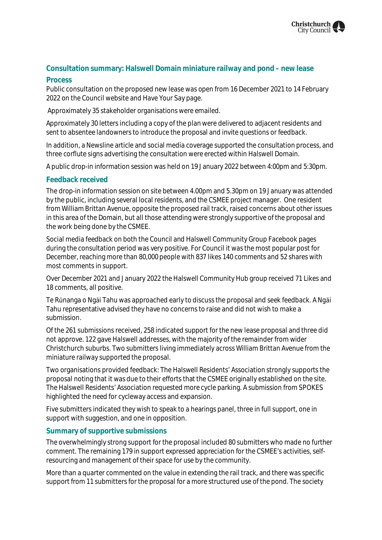# **Consultation summary: Halswell Domain miniature railway and pond – new lease**

### **Process**

Public consultation on the proposed new lease was open from 16 December 2021 to 14 February 2022 on the Council website and Have Your Say page.

Approximately 35 stakeholder organisations were emailed.

Approximately 30 letters including a copy of the plan were delivered to adjacent residents and sent to absentee landowners to introduce the proposal and invite questions or feedback.

In addition, a Newsline article and social media coverage supported the consultation process, and three corflute signs advertising the consultation were erected within Halswell Domain.

A public drop-in information session was held on 19 January 2022 between 4:00pm and 5:30pm.

### **Feedback received**

The drop-in information session on site between 4.00pm and 5.30pm on 19 January was attended by the public, including several local residents, and the CSMEE project manager. One resident from William Brittan Avenue, opposite the proposed rail track, raised concerns about other issues in this area of the Domain, but all those attending were strongly supportive of the proposal and the work being done by the CSMEE.

Social media feedback on both the Council and Halswell Community Group Facebook pages during the consultation period was very positive. For Council it was the most popular post for December, reaching more than 80,000 people with 837 likes 140 comments and 52 shares with most comments in support.

Over December 2021 and January 2022 the Halswell Community Hub group received 71 Likes and 18 comments, all positive.

Te Rūnanga o Ngāi Tahu was approached early to discuss the proposal and seek feedback. A Ngāi Tahu representative advised they have no concerns to raise and did not wish to make a submission.

Of the 261 submissions received, 258 indicated support for the new lease proposal and three did not approve. 122 gave Halswell addresses, with the majority of the remainder from wider Christchurch suburbs. Two submitters living immediately across William Brittan Avenue from the miniature railway supported the proposal.

Two organisations provided feedback: The Halswell Residents' Association strongly supports the proposal noting that it was due to their efforts that the CSMEE originally established on the site. The Halswell Residents' Association requested more cycle parking. A submission from SPOKES highlighted the need for cycleway access and expansion.

Five submitters indicated they wish to speak to a hearings panel, three in full support, one in support with suggestion, and one in opposition.

### **Summary of supportive submissions**

The overwhelmingly strong support for the proposal included 80 submitters who made no further comment. The remaining 179 in support expressed appreciation for the CSMEE's activities, selfresourcing and management of their space for use by the community.

More than a quarter commented on the value in extending the rail track, and there was specific support from 11 submitters for the proposal for a more structured use of the pond. The society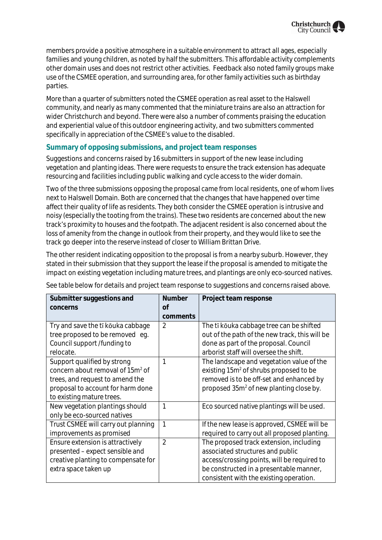members provide a positive atmosphere in a suitable environment to attract all ages, especially families and young children, as noted by half the submitters. This affordable activity complements other domain uses and does not restrict other activities. Feedback also noted family groups make use of the CSMEE operation, and surrounding area, for other family activities such as birthday parties.

More than a quarter of submitters noted the CSMEE operation as real asset to the Halswell community, and nearly as many commented that the miniature trains are also an attraction for wider Christchurch and beyond. There were also a number of comments praising the education and experiential value of this outdoor engineering activity, and two submitters commented specifically in appreciation of the CSMEE's value to the disabled.

## **Summary of opposing submissions, and project team responses**

Suggestions and concerns raised by 16 submitters in support of the new lease including vegetation and planting ideas. There were requests to ensure the track extension has adequate resourcing and facilities including public walking and cycle access to the wider domain.

Two of the three submissions opposing the proposal came from local residents, one of whom lives next to Halswell Domain. Both are concerned that the changes that have happened over time affect their quality of life as residents. They both consider the CSMEE operation is intrusive and noisy (especially the tooting from the trains). These two residents are concerned about the new track's proximity to houses and the footpath. The adjacent resident is also concerned about the loss of amenity from the change in outlook from their property, and they would like to see the track go deeper into the reserve instead of closer to William Brittan Drive.

The other resident indicating opposition to the proposal is from a nearby suburb. However, they stated in their submission that they support the lease if the proposal is amended to mitigate the impact on existing vegetation including mature trees, and plantings are only eco-sourced natives.

See table below for details and project team response to suggestions and concerns raised above.

| Submitter suggestions and<br>concerns        | <b>Number</b><br>Οf | Project team response                               |
|----------------------------------------------|---------------------|-----------------------------------------------------|
|                                              | comments            |                                                     |
| Try and save the tī kōuka cabbage            | $\overline{2}$      | The tī kōuka cabbage tree can be shifted            |
| tree proposed to be removed eg.              |                     | out of the path of the new track, this will be      |
| Council support /funding to                  |                     | done as part of the proposal. Council               |
| relocate.                                    |                     | arborist staff will oversee the shift.              |
| Support qualified by strong                  |                     | The landscape and vegetation value of the           |
| concern about removal of 15m <sup>2</sup> of |                     | existing 15m <sup>2</sup> of shrubs proposed to be  |
| trees, and request to amend the              |                     | removed is to be off-set and enhanced by            |
| proposal to account for harm done            |                     | proposed 35m <sup>2</sup> of new planting close by. |
| to existing mature trees.                    |                     |                                                     |
| New vegetation plantings should              | 1                   | Eco sourced native plantings will be used.          |
| only be eco-sourced natives                  |                     |                                                     |
| Trust CSMEE will carry out planning          | 1                   | If the new lease is approved, CSMEE will be         |
| improvements as promised                     |                     | required to carry out all proposed planting.        |
| Ensure extension is attractively             | $\overline{2}$      | The proposed track extension, including             |
| presented - expect sensible and              |                     | associated structures and public                    |
| creative planting to compensate for          |                     | access/crossing points, will be required to         |
| extra space taken up                         |                     | be constructed in a presentable manner,             |
|                                              |                     | consistent with the existing operation.             |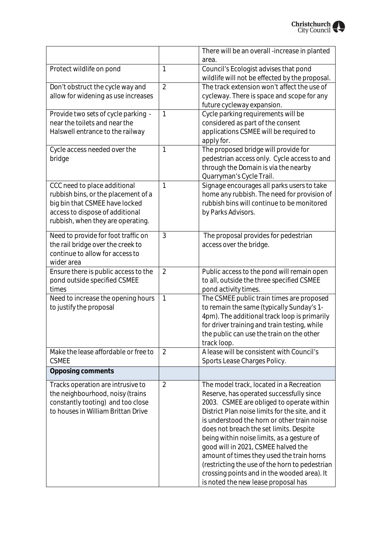|                                      |                | There will be an overall -increase in planted                                           |
|--------------------------------------|----------------|-----------------------------------------------------------------------------------------|
|                                      |                | area.                                                                                   |
| Protect wildlife on pond             | 1              | Council's Ecologist advises that pond<br>wildlife will not be effected by the proposal. |
| Don't obstruct the cycle way and     | $\overline{2}$ | The track extension won't affect the use of                                             |
| allow for widening as use increases  |                | cycleway. There is space and scope for any                                              |
|                                      |                | future cycleway expansion.                                                              |
| Provide two sets of cycle parking -  | 1              | Cycle parking requirements will be                                                      |
| near the toilets and near the        |                | considered as part of the consent                                                       |
| Halswell entrance to the railway     |                | applications CSMEE will be required to                                                  |
|                                      |                | apply for.                                                                              |
| Cycle access needed over the         | 1              | The proposed bridge will provide for                                                    |
| bridge                               |                | pedestrian access only. Cycle access to and                                             |
|                                      |                | through the Domain is via the nearby                                                    |
|                                      |                | Quarryman's Cycle Trail.                                                                |
| CCC need to place additional         | 1              | Signage encourages all parks users to take                                              |
| rubbish bins, or the placement of a  |                | home any rubbish. The need for provision of                                             |
| big bin that CSMEE have locked       |                | rubbish bins will continue to be monitored                                              |
| access to dispose of additional      |                | by Parks Advisors.                                                                      |
| rubbish, when they are operating.    |                |                                                                                         |
|                                      |                |                                                                                         |
| Need to provide for foot traffic on  | 3              | The proposal provides for pedestrian                                                    |
| the rail bridge over the creek to    |                | access over the bridge.                                                                 |
| continue to allow for access to      |                |                                                                                         |
| wider area                           |                |                                                                                         |
| Ensure there is public access to the | $\overline{2}$ | Public access to the pond will remain open                                              |
| pond outside specified CSMEE         |                | to all, outside the three specified CSMEE                                               |
| times                                |                | pond activity times.                                                                    |
| Need to increase the opening hours   | 1              | The CSMEE public train times are proposed                                               |
| to justify the proposal              |                | to remain the same (typically Sunday's 1-                                               |
|                                      |                | 4pm). The additional track loop is primarily                                            |
|                                      |                | for driver training and train testing, while                                            |
|                                      |                | the public can use the train on the other                                               |
|                                      |                | track loop.                                                                             |
| Make the lease affordable or free to | $\overline{2}$ | A lease will be consistent with Council's                                               |
| <b>CSMEE</b>                         |                | Sports Lease Charges Policy.                                                            |
| Opposing comments                    |                |                                                                                         |
| Tracks operation are intrusive to    | $\overline{2}$ | The model track, located in a Recreation                                                |
| the neighbourhood, noisy (trains     |                | Reserve, has operated successfully since                                                |
| constantly tooting) and too close    |                | 2003. CSMEE are obliged to operate within                                               |
| to houses in William Brittan Drive   |                | District Plan noise limits for the site, and it                                         |
|                                      |                | is understood the horn or other train noise                                             |
|                                      |                | does not breach the set limits. Despite                                                 |
|                                      |                | being within noise limits, as a gesture of                                              |
|                                      |                | good will in 2021, CSMEE halved the                                                     |
|                                      |                | amount of times they used the train horns                                               |
|                                      |                | (restricting the use of the horn to pedestrian                                          |
|                                      |                | crossing points and in the wooded area). It                                             |
|                                      |                | is noted the new lease proposal has                                                     |